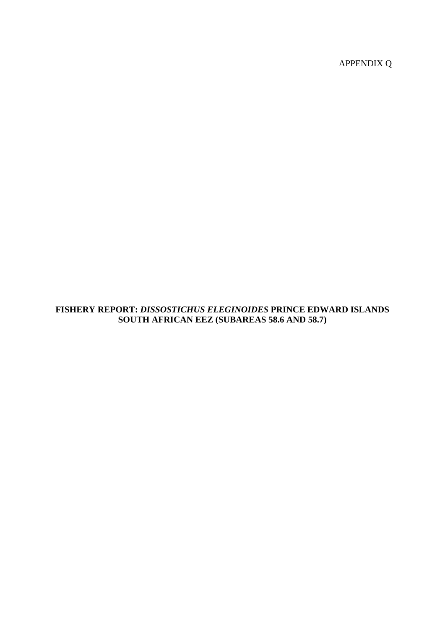APPENDIX Q

## **FISHERY REPORT:** *DISSOSTICHUS ELEGINOIDES* **PRINCE EDWARD ISLANDS SOUTH AFRICAN EEZ (SUBAREAS 58.6 AND 58.7)**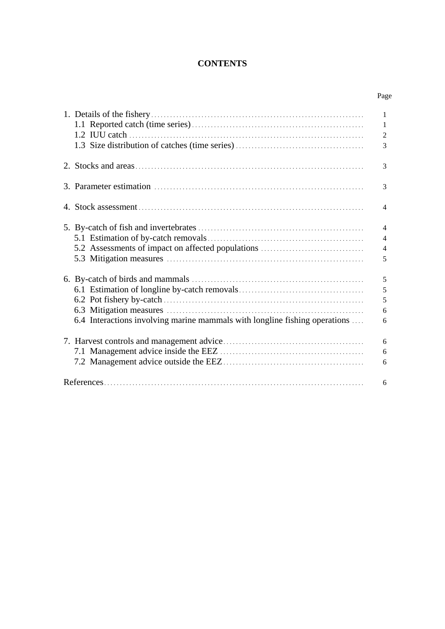# **CONTENTS**

Page

|                                                                            | $\mathbf{1}$   |
|----------------------------------------------------------------------------|----------------|
|                                                                            | 1              |
|                                                                            | $\mathfrak{2}$ |
|                                                                            | 3              |
|                                                                            |                |
|                                                                            | 3              |
|                                                                            | 3              |
|                                                                            | $\overline{4}$ |
|                                                                            |                |
|                                                                            | $\overline{4}$ |
|                                                                            | $\overline{4}$ |
| 5.2 Assessments of impact on affected populations                          | $\overline{4}$ |
|                                                                            | 5              |
|                                                                            | 5              |
|                                                                            | 5              |
|                                                                            | 5              |
|                                                                            | 6              |
| 6.4 Interactions involving marine mammals with longline fishing operations | 6              |
|                                                                            | 6              |
|                                                                            | 6              |
|                                                                            | 6              |
|                                                                            | 6              |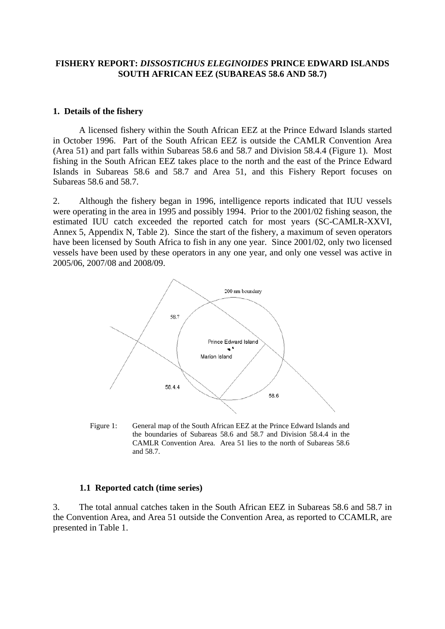## <span id="page-2-0"></span>**FISHERY REPORT:** *DISSOSTICHUS ELEGINOIDES* **PRINCE EDWARD ISLANDS SOUTH AFRICAN EEZ (SUBAREAS 58.6 AND 58.7)**

#### **1. Details of the fishery**

A licensed fishery within the South African EEZ at the Prince Edward Islands started in October 1996. Part of the South African EEZ is outside the CAMLR Convention Area (Area 51) and part falls within Subareas 58.6 and 58.7 and Division 58.4.4 (Figure 1). Most fishing in the South African EEZ takes place to the north and the east of the Prince Edward Islands in Subareas 58.6 and 58.7 and Area 51, and this Fishery Report focuses on Subareas 58.6 and 58.7.

2. Although the fishery began in 1996, intelligence reports indicated that IUU vessels were operating in the area in 1995 and possibly 1994. Prior to the 2001/02 fishing season, the estimated IUU catch exceeded the reported catch for most years (SC-CAMLR-XXVI, Annex 5, Appendix N, Table 2). Since the start of the fishery, a maximum of seven operators have been licensed by South Africa to fish in any one year. Since 2001/02, only two licensed vessels have been used by these operators in any one year, and only one vessel was active in 2005/06, 2007/08 and 2008/09.



Figure 1: General map of the South African EEZ at the Prince Edward Islands and the boundaries of Subareas 58.6 and 58.7 and Division 58.4.4 in the CAMLR Convention Area. Area 51 lies to the north of Subareas 58.6 and 58.7.

#### **1.1 Reported catch (time series)**

3. The total annual catches taken in the South African EEZ in Subareas 58.6 and 58.7 in the Convention Area, and Area 51 outside the Convention Area, as reported to CCAMLR, are presented in Table 1.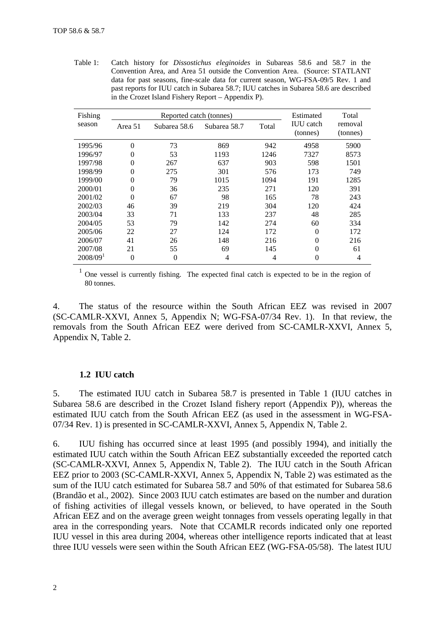<span id="page-3-0"></span>Table 1: Catch history for *Dissostichus eleginoides* in Subareas 58.6 and 58.7 in the Convention Area, and Area 51 outside the Convention Area. (Source: STATLANT data for past seasons, fine-scale data for current season, WG-FSA-09/5 Rev. 1 and past reports for IUU catch in Subarea 58.7; IUU catches in Subarea 58.6 are described in the Crozet Island Fishery Report – Appendix P).

| Fishing                |                | Reported catch (tonnes) | Estimated    | Total          |                              |                     |
|------------------------|----------------|-------------------------|--------------|----------------|------------------------------|---------------------|
| season                 | Area 51        | Subarea 58.6            | Subarea 58.7 | Total          | <b>IUU</b> catch<br>(tonnes) | removal<br>(tonnes) |
| 1995/96                | $\overline{0}$ | 73                      | 869          | 942            | 4958                         | 5900                |
| 1996/97                | $\theta$       | 53                      | 1193         | 1246           | 7327                         | 8573                |
| 1997/98                | $\overline{0}$ | 267                     | 637          | 903            | 598                          | 1501                |
| 1998/99                | $\theta$       | 275                     | 301          | 576            | 173                          | 749                 |
| 1999/00                | $\overline{0}$ | 79                      | 1015         | 1094           | 191                          | 1285                |
| 2000/01                | $\theta$       | 36                      | 235          | 271            | 120                          | 391                 |
| 2001/02                | $\theta$       | 67                      | 98           | 165            | 78                           | 243                 |
| 2002/03                | 46             | 39                      | 219          | 304            | 120                          | 424                 |
| 2003/04                | 33             | 71                      | 133          | 237            | 48                           | 285                 |
| 2004/05                | 53             | 79                      | 142          | 274            | 60                           | 334                 |
| 2005/06                | 22             | 27                      | 124          | 172            | $\Omega$                     | 172                 |
| 2006/07                | 41             | 26                      | 148          | 216            | $\Omega$                     | 216                 |
| 2007/08                | 21             | 55                      | 69           | 145            | $\theta$                     | 61                  |
| $2008/09$ <sup>1</sup> | $\overline{0}$ | $\theta$                | 4            | $\overline{4}$ | 0                            | 4                   |

<sup>1</sup> One vessel is currently fishing. The expected final catch is expected to be in the region of 80 tonnes.

4. The status of the resource within the South African EEZ was revised in 2007 (SC-CAMLR-XXVI, Annex 5, Appendix N; WG-FSA-07/34 Rev. 1). In that review, the removals from the South African EEZ were derived from SC-CAMLR-XXVI, Annex 5, Appendix N, Table 2.

## **1.2 IUU catch**

5. The estimated IUU catch in Subarea 58.7 is presented in Table 1 (IUU catches in Subarea 58.6 are described in the Crozet Island fishery report (Appendix P)), whereas the estimated IUU catch from the South African EEZ (as used in the assessment in WG-FSA-07/34 Rev. 1) is presented in SC-CAMLR-XXVI, Annex 5, Appendix N, Table 2.

6. IUU fishing has occurred since at least 1995 (and possibly 1994), and initially the estimated IUU catch within the South African EEZ substantially exceeded the reported catch (SC-CAMLR-XXVI, Annex 5, Appendix N, Table 2). The IUU catch in the South African EEZ prior to 2003 (SC-CAMLR-XXVI, Annex 5, Appendix N, Table 2) was estimated as the sum of the IUU catch estimated for Subarea 58.7 and 50% of that estimated for Subarea 58.6 (Brandão et al., 2002). Since 2003 IUU catch estimates are based on the number and duration of fishing activities of illegal vessels known, or believed, to have operated in the South African EEZ and on the average green weight tonnages from vessels operating legally in that area in the corresponding years. Note that CCAMLR records indicated only one reported IUU vessel in this area during 2004, whereas other intelligence reports indicated that at least three IUU vessels were seen within the South African EEZ (WG-FSA-05/58). The latest IUU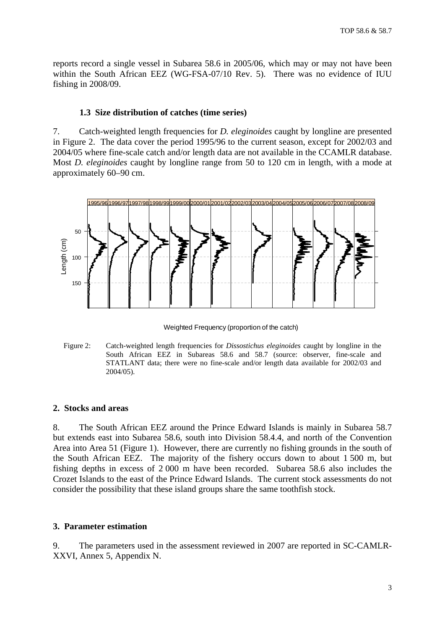<span id="page-4-0"></span>reports record a single vessel in Subarea 58.6 in 2005/06, which may or may not have been within the South African EEZ (WG-FSA-07/10 Rev. 5). There was no evidence of IUU fishing in 2008/09.

#### **1.3 Size distribution of catches (time series)**

7. Catch-weighted length frequencies for *D. eleginoides* caught by longline are presented in Figure 2. The data cover the period 1995/96 to the current season, except for 2002/03 and 2004/05 where fine-scale catch and/or length data are not available in the CCAMLR database. Most *D. eleginoides* caught by longline range from 50 to 120 cm in length, with a mode at approximately 60–90 cm.



Weighted Frequency (proportion of the catch)

Figure 2: Catch-weighted length frequencies for *Dissostichus eleginoides* caught by longline in the South African EEZ in Subareas 58.6 and 58.7 (source: observer, fine-scale and STATLANT data; there were no fine-scale and/or length data available for 2002/03 and 2004/05).

### **2. Stocks and areas**

8. The South African EEZ around the Prince Edward Islands is mainly in Subarea 58.7 but extends east into Subarea 58.6, south into Division 58.4.4, and north of the Convention Area into Area 51 (Figure 1). However, there are currently no fishing grounds in the south of the South African EEZ. The majority of the fishery occurs down to about 1 500 m, but fishing depths in excess of 2 000 m have been recorded. Subarea 58.6 also includes the Crozet Islands to the east of the Prince Edward Islands. The current stock assessments do not consider the possibility that these island groups share the same toothfish stock.

#### **3. Parameter estimation**

9. The parameters used in the assessment reviewed in 2007 are reported in SC-CAMLR-XXVI, Annex 5, Appendix N.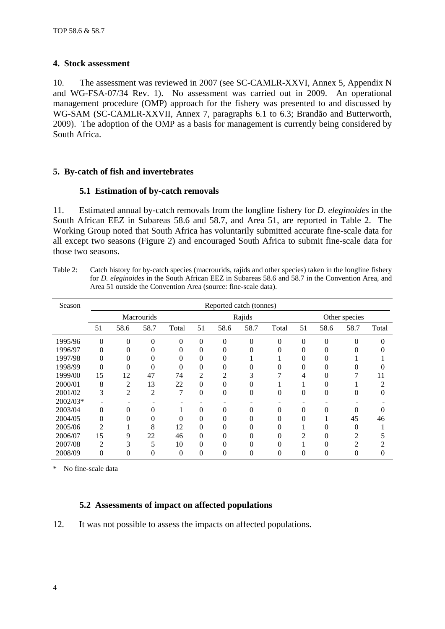#### <span id="page-5-0"></span>**4. Stock assessment**

10. The assessment was reviewed in 2007 (see SC-CAMLR-XXVI, Annex 5, Appendix N and WG-FSA-07/34 Rev. 1). No assessment was carried out in 2009. An operational management procedure (OMP) approach for the fishery was presented to and discussed by WG-SAM (SC-CAMLR-XXVII, Annex 7, paragraphs 6.1 to 6.3; Brandão and Butterworth, 2009). The adoption of the OMP as a basis for management is currently being considered by South Africa.

### **5. By-catch of fish and invertebrates**

### **5.1 Estimation of by-catch removals**

11. Estimated annual by-catch removals from the longline fishery for *D. eleginoides* in the South African EEZ in Subareas 58.6 and 58.7, and Area 51, are reported in Table 2. The Working Group noted that South Africa has voluntarily submitted accurate fine-scale data for all except two seasons (Figure 2) and encouraged South Africa to submit fine-scale data for those two seasons.

Table 2: Catch history for by-catch species (macrourids, rajids and other species) taken in the longline fishery for *D. eleginoides* in the South African EEZ in Subareas 58.6 and 58.7 in the Convention Area, and Area 51 outside the Convention Area (source: fine-scale data).

| Season   | Reported catch (tonnes) |                |                |        |                |          |               |       |          |          |        |       |
|----------|-------------------------|----------------|----------------|--------|----------------|----------|---------------|-------|----------|----------|--------|-------|
|          | <b>Macrourids</b>       |                |                | Rajids |                |          | Other species |       |          |          |        |       |
|          | 51                      | 58.6           | 58.7           | Total  | 51             | 58.6     | 58.7          | Total | 51       | 58.6     | 58.7   | Total |
| 1995/96  | 0                       | $\overline{0}$ | 0              | 0      | $\overline{0}$ | $\theta$ | $\Omega$      | 0     | 0        | $\theta$ |        |       |
| 1996/97  | 0                       | 0              |                |        | 0              | 0        |               |       |          |          |        |       |
| 1997/98  | 0                       | 0              |                |        | $\overline{0}$ |          |               |       |          |          |        |       |
| 1998/99  | 0                       | 0              | 0              |        | $\overline{0}$ | 0        |               |       |          |          |        |       |
| 1999/00  | 15                      | 12             | 47             | 74     | $\overline{2}$ | 2        |               |       | 4        |          |        | 11    |
| 2000/01  | 8                       | $\overline{2}$ | 13             | 22     | $\overline{0}$ | 0        |               |       |          |          |        | າ     |
| 2001/02  | 3                       | 2              | $\overline{c}$ | 7      | $\overline{0}$ | $\theta$ | $\theta$      | 0     | 0        | 0        | $_{0}$ |       |
| 2002/03* |                         |                |                |        |                |          |               |       |          |          |        |       |
| 2003/04  | $\overline{0}$          | 0              | 0              |        | 0              | 0        | 0             | 0     | 0        | 0        |        |       |
| 2004/05  | $\overline{0}$          | 0              | 0              | 0      | $\overline{0}$ | 0        | 0             | 0     | 0        |          | 45     | 46    |
| 2005/06  | 2                       |                | 8              | 12     | $\overline{0}$ | 0        | 0             |       |          |          |        |       |
| 2006/07  | 15                      | 9              | 22             | 46     | $\theta$       | 0        | 0             |       | $\gamma$ |          | 2      |       |
| 2007/08  | $\overline{2}$          | 3              | 5              | 10     | $\theta$       | 0        | 0             |       |          |          | っ      |       |
| 2008/09  | 0                       | 0              |                | 0      | 0              | 0        | 0             | 0     | 0        |          |        |       |

\* No fine-scale data

### **5.2 Assessments of impact on affected populations**

12. It was not possible to assess the impacts on affected populations.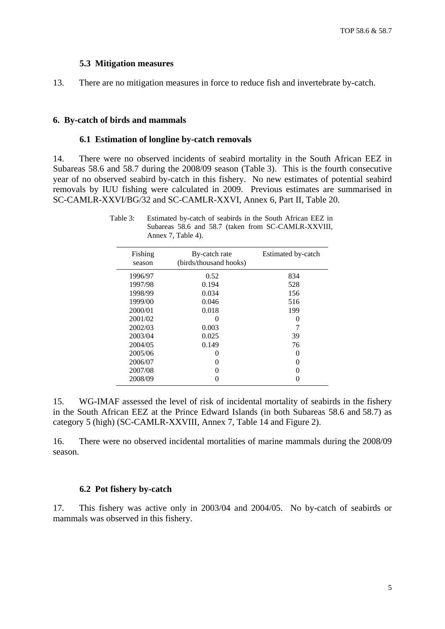#### **5.3 Mitigation measures**

<span id="page-6-0"></span>13. There are no mitigation measures in force to reduce fish and invertebrate by-catch.

#### **6. By-catch of birds and mammals**

#### **6.1 Estimation of longline by-catch removals**

14. There were no observed incidents of seabird mortality in the South African EEZ in Subareas 58.6 and 58.7 during the 2008/09 season (Table 3). This is the fourth consecutive year of no observed seabird by-catch in this fishery. No new estimates of potential seabird removals by IUU fishing were calculated in 2009. Previous estimates are summarised in SC-CAMLR-XXVI/BG/32 and SC-CAMLR-XXVI, Annex 6, Part II, Table 20.

| Fishing<br>season | By-catch rate<br>(birds/thousand hooks) | Estimated by-catch |
|-------------------|-----------------------------------------|--------------------|
| 1996/97           | 0.52                                    | 834                |
| 1997/98           | 0.194                                   | 528                |
| 1998/99           | 0.034                                   | 156                |
| 1999/00           | 0.046                                   | 516                |
| 2000/01           | 0.018                                   | 199                |
| 2001/02           | 0                                       | 0                  |
| 2002/03           | 0.003                                   |                    |
| 2003/04           | 0.025                                   | 39                 |
| 2004/05           | 0.149                                   | 76                 |
| 2005/06           | 0                                       | 0                  |
| 2006/07           |                                         | 0                  |
| 2007/08           |                                         | 0                  |
| 2008/09           |                                         |                    |

Table 3: Estimated by-catch of seabirds in the South African EEZ in Subareas 58.6 and 58.7 (taken from SC-CAMLR-XXVIII, Annex 7, Table 4).

15. WG-IMAF assessed the level of risk of incidental mortality of seabirds in the fishery in the South African EEZ at the Prince Edward Islands (in both Subareas 58.6 and 58.7) as category 5 (high) (SC-CAMLR-XXVIII, Annex 7, Table 14 and Figure 2).

16. There were no observed incidental mortalities of marine mammals during the 2008/09 season.

#### **6.2 Pot fishery by-catch**

17. This fishery was active only in 2003/04 and 2004/05. No by-catch of seabirds or mammals was observed in this fishery.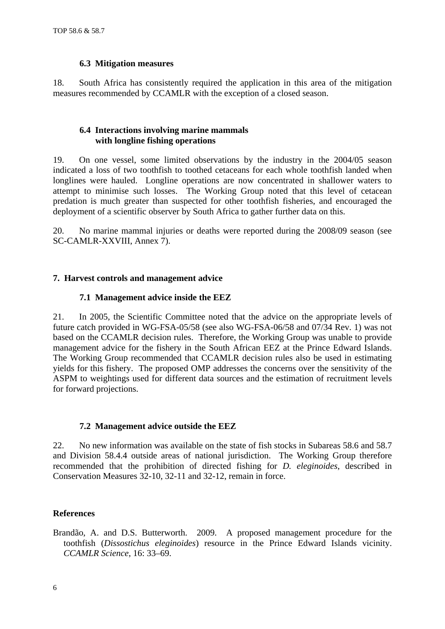#### **6.3 Mitigation measures**

<span id="page-7-0"></span>18. South Africa has consistently required the application in this area of the mitigation measures recommended by CCAMLR with the exception of a closed season.

#### **6.4 Interactions involving marine mammals with longline fishing operations**

19. On one vessel, some limited observations by the industry in the 2004/05 season indicated a loss of two toothfish to toothed cetaceans for each whole toothfish landed when longlines were hauled. Longline operations are now concentrated in shallower waters to attempt to minimise such losses. The Working Group noted that this level of cetacean predation is much greater than suspected for other toothfish fisheries, and encouraged the deployment of a scientific observer by South Africa to gather further data on this.

20. No marine mammal injuries or deaths were reported during the 2008/09 season (see SC-CAMLR-XXVIII, Annex 7).

## **7. Harvest controls and management advice**

## **7.1 Management advice inside the EEZ**

21. In 2005, the Scientific Committee noted that the advice on the appropriate levels of future catch provided in WG-FSA-05/58 (see also WG-FSA-06/58 and 07/34 Rev. 1) was not based on the CCAMLR decision rules. Therefore, the Working Group was unable to provide management advice for the fishery in the South African EEZ at the Prince Edward Islands. The Working Group recommended that CCAMLR decision rules also be used in estimating yields for this fishery. The proposed OMP addresses the concerns over the sensitivity of the ASPM to weightings used for different data sources and the estimation of recruitment levels for forward projections.

### **7.2 Management advice outside the EEZ**

22. No new information was available on the state of fish stocks in Subareas 58.6 and 58.7 and Division 58.4.4 outside areas of national jurisdiction. The Working Group therefore recommended that the prohibition of directed fishing for *D. eleginoides*, described in Conservation Measures 32-10, 32-11 and 32-12, remain in force.

### **References**

Brandão, A. and D.S. Butterworth. 2009. A proposed management procedure for the toothfish (*Dissostichus eleginoides*) resource in the Prince Edward Islands vicinity. *CCAMLR Science*, 16: 33–69.